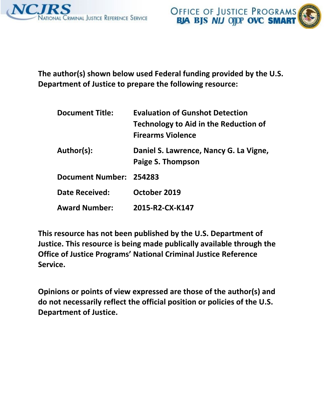



**The author(s) shown below used Federal funding provided by the U.S. Department of Justice to prepare the following resource:** 

| <b>Document Title:</b>  | <b>Evaluation of Gunshot Detection</b><br>Technology to Aid in the Reduction of<br><b>Firearms Violence</b> |
|-------------------------|-------------------------------------------------------------------------------------------------------------|
| Author(s):              | Daniel S. Lawrence, Nancy G. La Vigne,<br>Paige S. Thompson                                                 |
| Document Number: 254283 |                                                                                                             |
| Date Received:          | October 2019                                                                                                |
| <b>Award Number:</b>    | 2015-R2-CX-K147                                                                                             |

**This resource has not been published by the U.S. Department of Justice. This resource is being made publically available through the Office of Justice Programs' National Criminal Justice Reference Service.** 

**Opinions or points of view expressed are those of the author(s) and do not necessarily reflect the official position or policies of the U.S. Department of Justice.**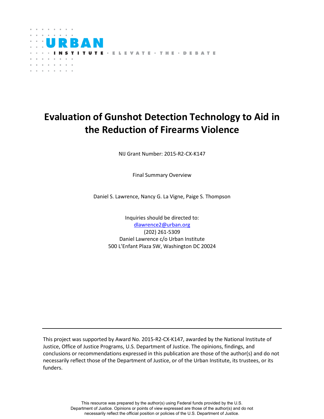

# **Evaluation of Gunshot Detection Technology to Aid in the Reduction of Firearms Violence**

NIJ Grant Number: 2015-R2-CX-K147

Final Summary Overview

Daniel S. Lawrence, Nancy G. La Vigne, Paige S. Thompson

Inquiries should be directed to: [dlawrence2@urban.org](mailto:dlawrence2@urban.org) (202) 261-5309 Daniel Lawrence c/o Urban Institute 500 L'Enfant Plaza SW, Washington DC 20024

This project was supported by Award No. 2015-R2-CX-K147, awarded by the National Institute of Justice, Office of Justice Programs, U.S. Department of Justice. The opinions, findings, and conclusions or recommendations expressed in this publication are those of the author(s) and do not necessarily reflect those of the Department of Justice, or of the Urban Institute, its trustees, or its funders.

> This resource was prepared by the author(s) using Federal funds provided by the U.S. Department of Justice. Opinions or points of view expressed are those of the author(s) and do not necessarily reflect the official position or policies of the U.S. Department of Justice.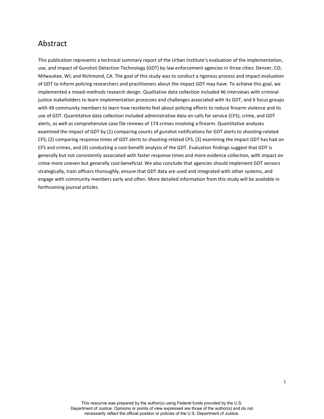# <span id="page-2-0"></span>Abstract

This publication represents a technical summary report of the Urban Institute's evaluation of the implementation, use, and impact of Gunshot Detection Technology (GDT) by law enforcement agencies in three cities: Denver, CO; Milwaukee, WI; and Richmond, CA. The goal of this study was to conduct a rigorous process and impact evaluation of GDT to inform policing researchers and practitioners about the impact GDT may have. To achieve this goal, we implemented a mixed-methods research design. Qualitative data collection included 46 interviews with criminal justice stakeholders to learn implementation processes and challenges associated with its GDT, and 6 focus groups with 49 community members to learn how residents feel about policing efforts to reduce firearm violence and its use of GDT. Quantitative data collection included administrative data on calls for service (CFS), crime, and GDT alerts, as well as comprehensive case file reviews of 174 crimes involving a firearm. Quantitative analyses examined the impact of GDT by (1) comparing counts of gunshot notifications for GDT alerts to shooting-related CFS, (2) comparing response times of GDT alerts to shooting-related CFS, (3) examining the impact GDT has had on CFS and crimes, and (4) conducting a cost-benefit analysis of the GDT. Evaluation findings suggest that GDT is generally but not consistently associated with faster response times and more evidence collection, with impact on crime more uneven but generally cost-beneficial. We also conclude that agencies should implement GDT sensors strategically, train officers thoroughly, ensure that GDT data are used and integrated with other systems, and engage with community members early and often. More detailed information from this study will be available in forthcoming journal articles.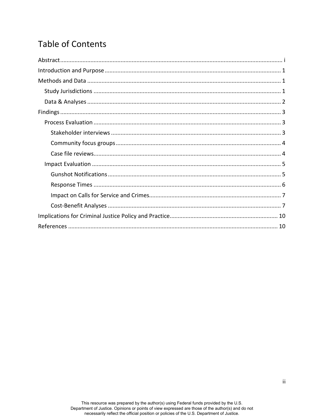# **Table of Contents**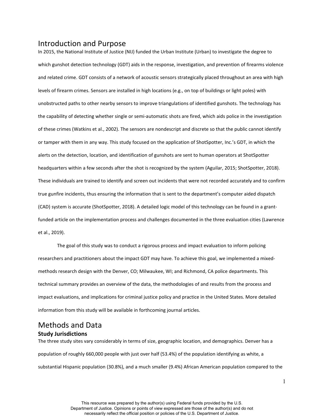<span id="page-4-1"></span><span id="page-4-0"></span>Introduction and Purpose<br>In 2015, the National Institute of Justice (NIJ) funded the Urban Institute (Urban) to investigate the degree to which gunshot detection technology (GDT) aids in the response, investigation, and prevention of firearms violence and related crime. GDT consists of a network of acoustic sensors strategically placed throughout an area with high levels of firearm crimes. Sensors are installed in high locations (e.g., on top of buildings or light poles) with unobstructed paths to other nearby sensors to improve triangulations of identified gunshots. The technology has the capability of detecting whether single or semi-automatic shots are fired, which aids police in the investigation of these crimes (Watkins et al., 2002). The sensors are nondescript and discrete so that the public cannot identify or tamper with them in any way. This study focused on the application of ShotSpotter, Inc.'s GDT, in which the alerts on the detection, location, and identification of gunshots are sent to human operators at ShotSpotter headquarters within a few seconds after the shot is recognized by the system (Aguilar, 2015; ShotSpotter, 2018). These individuals are trained to identify and screen out incidents that were not recorded accurately and to confirm true gunfire incidents, thus ensuring the information that is sent to the department's computer aided dispatch (CAD) system is accurate (ShotSpotter, 2018). A detailed logic model of this technology can be found in a grantfunded article on the implementation process and challenges documented in the three evaluation cities (Lawrence et al., 2019).

The goal of this study was to conduct a rigorous process and impact evaluation to inform policing researchers and practitioners about the impact GDT may have. To achieve this goal, we implemented a mixedmethods research design with the Denver, CO; Milwaukee, WI; and Richmond, CA police departments. This technical summary provides an overview of the data, the methodologies of and results from the process and impact evaluations, and implications for criminal justice policy and practice in the United States. More detailed information from this study will be available in forthcoming journal articles.

## <span id="page-4-2"></span>Methods and Data **Study Jurisdictions**

The three study sites vary considerably in terms of size, geographic location, and demographics. Denver has a population of roughly 660,000 people with just over half (53.4%) of the population identifying as white, a substantial Hispanic population (30.8%), and a much smaller (9.4%) African American population compared to the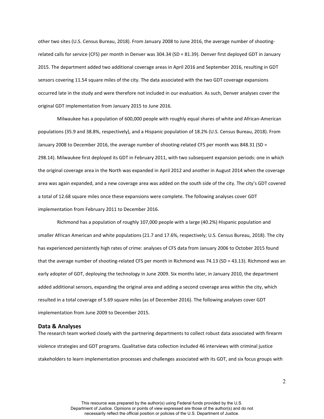other two sites (U.S. Census Bureau, 2018). From January 2008 to June 2016, the average number of shootingrelated calls for service (CFS) per month in Denver was 304.34 (SD = 81.39). Denver first deployed GDT in January 2015. The department added two additional coverage areas in April 2016 and September 2016, resulting in GDT sensors covering 11.54 square miles of the city. The data associated with the two GDT coverage expansions occurred late in the study and were therefore not included in our evaluation. As such, Denver analyses cover the original GDT implementation from January 2015 to June 2016.

Milwaukee has a population of 600,000 people with roughly equal shares of white and African-American populations (35.9 and 38.8%, respectively), and a Hispanic population of 18.2% (U.S. Census Bureau, 2018). From January 2008 to December 2016, the average number of shooting-related CFS per month was 848.31 (SD = 298.14). Milwaukee first deployed its GDT in February 2011, with two subsequent expansion periods: one in which the original coverage area in the North was expanded in April 2012 and another in August 2014 when the coverage area was again expanded, and a new coverage area was added on the south side of the city. The city's GDT covered a total of 12.68 square miles once these expansions were complete. The following analyses cover GDT implementation from February 2011 to December 2016.

Richmond has a population of roughly 107,000 people with a large (40.2%) Hispanic population and smaller African American and white populations (21.7 and 17.6%, respectively; U.S. Census Bureau, 2018). The city has experienced persistently high rates of crime: analyses of CFS data from January 2006 to October 2015 found that the average number of shooting-related CFS per month in Richmond was 74.13 (SD = 43.13). Richmond was an early adopter of GDT, deploying the technology in June 2009. Six months later, in January 2010, the department added additional sensors, expanding the original area and adding a second coverage area within the city, which resulted in a total coverage of 5.69 square miles (as of December 2016). The following analyses cover GDT implementation from June 2009 to December 2015.

### <span id="page-5-0"></span>**Data & Analyses**

The research team worked closely with the partnering departments to collect robust data associated with firearm violence strategies and GDT programs. Qualitative data collection included 46 interviews with criminal justice stakeholders to learn implementation processes and challenges associated with its GDT, and six focus groups with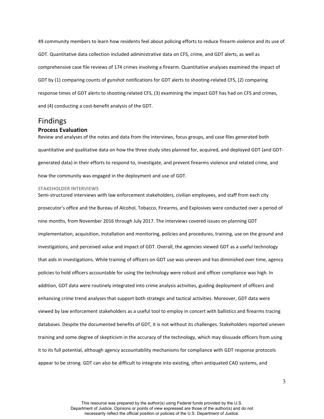49 community members to learn how residents feel about policing efforts to reduce firearm violence and its use of GDT. Quantitative data collection included administrative data on CFS, crime, and GDT alerts, as well as comprehensive case file reviews of 174 crimes involving a firearm. Quantitative analyses examined the impact of GDT by (1) comparing counts of gunshot notifications for GDT alerts to shooting-related CFS, (2) comparing response times of GDT alerts to shooting-related CFS, (3) examining the impact GDT has had on CFS and crimes, and (4) conducting a cost-benefit analysis of the GDT.

### <span id="page-6-1"></span><span id="page-6-0"></span>Findings **Process Evaluation**

Review and analyses of the notes and data from the interviews, focus groups, and case files generated both quantitative and qualitative data on how the three study sites planned for, acquired, and deployed GDT (and GDTgenerated data) in their efforts to respond to, investigate, and prevent firearms violence and related crime, and how the community was engaged in the deployment and use of GDT.

### <span id="page-6-2"></span>**STAKEHOLDER INTERVIEWS**

Semi-structured interviews with law enforcement stakeholders, civilian employees, and staff from each city prosecutor's office and the Bureau of Alcohol, Tobacco, Firearms, and Explosives were conducted over a period of nine months, from November 2016 through July 2017. The interviews covered issues on planning GDT implementation, acquisition, installation and monitoring, policies and procedures, training, use on the ground and investigations, and perceived value and impact of GDT. Overall, the agencies viewed GDT as a useful technology that aids in investigations. While training of officers on GDT use was uneven and has diminished over time, agency policies to hold officers accountable for using the technology were robust and officer compliance was high. In addition, GDT data were routinely integrated into crime analysis activities, guiding deployment of officers and enhancing crime trend analyses that support both strategic and tactical activities. Moreover, GDT data were viewed by law enforcement stakeholders as a useful tool to employ in concert with ballistics and firearms tracing databases. Despite the documented benefits of GDT, it is not without its challenges. Stakeholders reported uneven training and some degree of skepticism in the accuracy of the technology, which may dissuade officers from using it to its full potential, although agency accountability mechanisms for compliance with GDT response protocols appear to be strong. GDT can also be difficult to integrate into existing, often antiquated CAD systems, and

3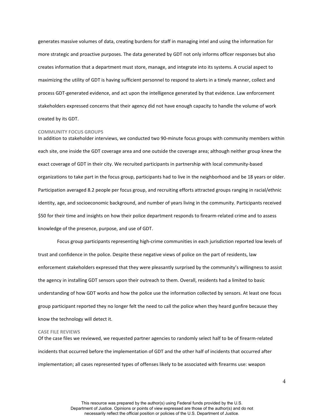generates massive volumes of data, creating burdens for staff in managing intel and using the information for more strategic and proactive purposes. The data generated by GDT not only informs officer responses but also creates information that a department must store, manage, and integrate into its systems. A crucial aspect to maximizing the utility of GDT is having sufficient personnel to respond to alerts in a timely manner, collect and process GDT-generated evidence, and act upon the intelligence generated by that evidence. Law enforcement stakeholders expressed concerns that their agency did not have enough capacity to handle the volume of work created by its GDT.

#### <span id="page-7-0"></span>**COMMUNITY FOCUS GROUPS**

In addition to stakeholder interviews, we conducted two 90-minute focus groups with community members within each site, one inside the GDT coverage area and one outside the coverage area; although neither group knew the exact coverage of GDT in their city. We recruited participants in partnership with local community-based organizations to take part in the focus group, participants had to live in the neighborhood and be 18 years or older. Participation averaged 8.2 people per focus group, and recruiting efforts attracted groups ranging in racial/ethnic identity, age, and socioeconomic background, and number of years living in the community. Participants received \$50 for their time and insights on how their police department responds to firearm-related crime and to assess knowledge of the presence, purpose, and use of GDT.

Focus group participants representing high-crime communities in each jurisdiction reported low levels of trust and confidence in the police. Despite these negative views of police on the part of residents, law enforcement stakeholders expressed that they were pleasantly surprised by the community's willingness to assist the agency in installing GDT sensors upon their outreach to them. Overall, residents had a limited to basic understanding of how GDT works and how the police use the information collected by sensors. At least one focus group participant reported they no longer felt the need to call the police when they heard gunfire because they know the technology will detect it.

#### <span id="page-7-1"></span>**CASE FILE REVIEWS**

Of the case files we reviewed, we requested partner agencies to randomly select half to be of firearm-related incidents that occurred before the implementation of GDT and the other half of incidents that occurred after implementation; all cases represented types of offenses likely to be associated with firearms use: weapon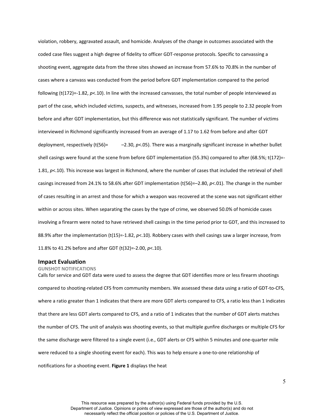violation, robbery, aggravated assault, and homicide. Analyses of the change in outcomes associated with the coded case files suggest a high degree of fidelity to officer GDT-response protocols. Specific to canvassing a shooting event, aggregate data from the three sites showed an increase from 57.6% to 70.8% in the number of cases where a canvass was conducted from the period before GDT implementation compared to the period following (t(172)=-1.82, *p*<.10). In line with the increased canvasses, the total number of people interviewed as part of the case, which included victims, suspects, and witnesses, increased from 1.95 people to 2.32 people from before and after GDT implementation, but this difference was not statistically significant. The number of victims interviewed in Richmond significantly increased from an average of 1.17 to 1.62 from before and after GDT deployment, respectively (t(56)= -2.30, *p*<.05). There was a marginally significant increase in whether bullet shell casings were found at the scene from before GDT implementation (55.3%) compared to after (68.5%; t(172)=- 1.81, *p*<.10). This increase was largest in Richmond, where the number of cases that included the retrieval of shell casings increased from 24.1% to 58.6% after GDT implementation (t(56)=–2.80, *p*<.01). The change in the number of cases resulting in an arrest and those for which a weapon was recovered at the scene was not significant either within or across sites. When separating the cases by the type of crime, we observed 50.0% of homicide cases involving a firearm were noted to have retrieved shell casings in the time period prior to GDT, and this increased to 88.9% after the implementation (t(15)=-1.82, *p*<.10). Robbery cases with shell casings saw a larger increase, from 11.8% to 41.2% before and after GDT (t(32)=-2.00, *p*<.10).

### <span id="page-8-0"></span>**Impact Evaluation**

#### <span id="page-8-1"></span>**GUNSHOT NOTIFICATIONS**

Calls for service and GDT data were used to assess the degree that GDT identifies more or less firearm shootings compared to shooting-related CFS from community members. We assessed these data using a ratio of GDT-to-CFS, where a ratio greater than 1 indicates that there are more GDT alerts compared to CFS, a ratio less than 1 indicates that there are less GDT alerts compared to CFS, and a ratio of 1 indicates that the number of GDT alerts matches the number of CFS. The unit of analysis was shooting events, so that multiple gunfire discharges or multiple CFS for the same discharge were filtered to a single event (i.e., GDT alerts or CFS within 5 minutes and one-quarter mile were reduced to a single shooting event for each). This was to help ensure a one-to-one relationship of notifications for a shooting event. **Figure 1** displays the heat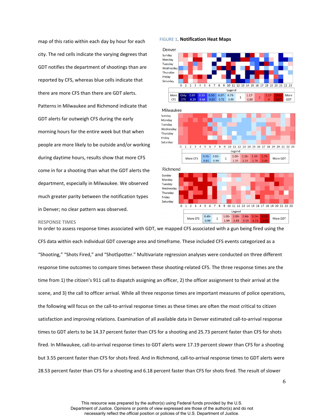map of this ratio within each day by hour for each city. The red cells indicate the varying degrees that GDT notifies the department of shootings than are reported by CFS, whereas blue cells indicate that there are more CFS than there are GDT alerts. Patterns in Milwaukee and Richmond indicate that GDT alerts far outweigh CFS during the early morning hours for the entire week but that when people are more likely to be outside and/or working during daytime hours, results show that more CFS come in for a shooting than what the GDT alerts the department, especially in Milwaukee. We observed much greater parity between the notification types in Denver; no clear pattern was observed.

#### FIGURE 1. **Notification Heat Maps**





#### <span id="page-9-0"></span>**RESPONSE TIMES**

In order to assess response times associated with GDT, we mapped CFS associated with a gun being fired using the CFS data within each individual GDT coverage area and timeframe. These included CFS events categorized as a "Shooting," "Shots Fired," and "ShotSpotter." Multivariate regression analyses were conducted on three different response time outcomes to compare times between these shooting-related CFS. The three response times are the time from 1) the citizen's 911 call to dispatch assigning an officer, 2) the officer assignment to their arrival at the scene, and 3) the call to officer arrival. While all three response times are important measures of police operations, the following will focus on the call-to-arrival response times as these times are often the most critical to citizen satisfaction and improving relations. Examination of all available data in Denver estimated call-to-arrival response times to GDT alerts to be 14.37 percent faster than CFS for a shooting and 25.73 percent faster than CFS for shots fired. In Milwaukee, call-to-arrival response times to GDT alerts were 17.19 percent slower than CFS for a shooting but 3.55 percent faster than CFS for shots fired. And in Richmond, call-to-arrival response times to GDT alerts were 28.53 percent faster than CFS for a shooting and 6.18 percent faster than CFS for shots fired. The result of slower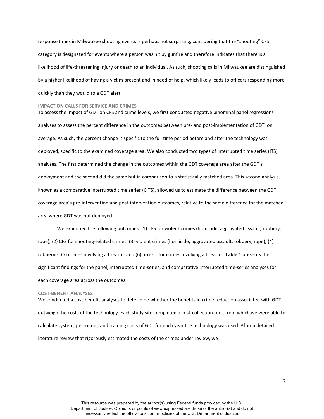response times in Milwaukee shooting events is perhaps not surprising, considering that the "shooting" CFS category is designated for events where a person was hit by gunfire and therefore indicates that there is a likelihood of life-threatening injury or death to an individual. As such, shooting calls in Milwaukee are distinguished by a higher likelihood of having a victim present and in need of help, which likely leads to officers responding more quickly than they would to a GDT alert.

#### <span id="page-10-0"></span>**IMPACT ON CALLS FOR SERVICE AND CRIMES**

To assess the impact of GDT on CFS and crime levels, we first conducted negative binominal panel regressions analyses to assess the percent difference in the outcomes between pre- and post-implementation of GDT, on average. As such, the percent change is specific to the full time period before and after the technology was deployed, specific to the examined coverage area. We also conducted two types of interrupted time series (ITS) analyses. The first determined the change in the outcomes within the GDT coverage area after the GDT's deployment and the second did the same but in comparison to a statistically matched area. This second analysis, known as a comparative interrupted time series (CITS), allowed us to estimate the difference between the GDT coverage area's pre-intervention and post-intervention outcomes, relative to the same difference for the matched area where GDT was not deployed.

We examined the following outcomes: (1) CFS for violent crimes (homicide, aggravated assault, robbery, rape), (2) CFS for shooting-related crimes, (3) violent crimes (homicide, aggravated assault, robbery, rape), (4) robberies, (5) crimes involving a firearm, and (6) arrests for crimes involving a firearm. **Table 1** presents the significant findings for the panel, interrupted time-series, and comparative interrupted time-series analyses for each coverage area across the outcomes.

#### <span id="page-10-1"></span>**COST-BENEFIT ANALYSES**

We conducted a cost-benefit analyses to determine whether the benefits in crime reduction associated with GDT outweigh the costs of the technology. Each study site completed a cost-collection tool, from which we were able to calculate system, personnel, and training costs of GDT for each year the technology was used. After a detailed literature review that rigorously estimated the costs of the crimes under review, we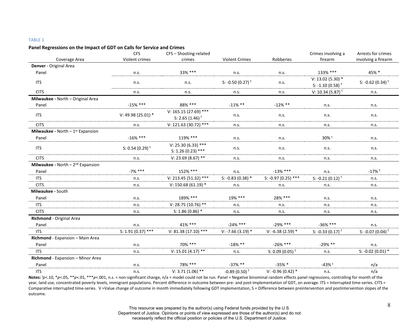#### TABLE 1

#### **Panel Regressions on the Impact of GDT on Calls for Service and Crimes**

|                                                       | <b>CFS</b><br>CFS-Shooting-related<br>Coverage Area<br>Violent crimes<br><b>Violent Crimes</b><br>crimes |                                                        |                              | Crimes involving a          | Arrests for crimes                                  |                              |  |
|-------------------------------------------------------|----------------------------------------------------------------------------------------------------------|--------------------------------------------------------|------------------------------|-----------------------------|-----------------------------------------------------|------------------------------|--|
|                                                       |                                                                                                          |                                                        |                              | Robberies                   | firearm                                             | involving a firearm          |  |
| Denver - Original Area                                |                                                                                                          |                                                        |                              |                             |                                                     |                              |  |
| Panel                                                 | n.s.                                                                                                     | 33% ***                                                | n.s.                         |                             | 133% ***                                            | 45% *                        |  |
| <b>ITS</b>                                            | n.s.                                                                                                     | n.s.                                                   | S: -0.50 (0.27) <sup>t</sup> | n.s.                        | $V: 13.02 (5.30) *$<br>S: -1.10 (0.58) <sup>t</sup> | S: -0.62 (0.34) <sup>t</sup> |  |
| <b>CITS</b>                                           | n.s.                                                                                                     | n.s.                                                   | n.s.                         | n.s.                        | V: 10.34 (5.87) <sup>t</sup>                        | n.s.                         |  |
| Milwaukee - North - Original Area                     |                                                                                                          |                                                        |                              |                             |                                                     |                              |  |
| Panel                                                 | $-15%$ ***                                                                                               | 88% ***                                                | $-11\%$ **                   | $-12\%$ **                  | n.s.                                                | n.s.                         |  |
| <b>ITS</b>                                            | V: 49.98 (25.01) *                                                                                       | V: 165.15 (27.69) ***<br>S: 2.65 $(1.46)$ <sup>t</sup> | n.s.<br>n.s.                 |                             | n.s.                                                | n.s.                         |  |
| <b>CITS</b>                                           | n.s.                                                                                                     | V: 121.63 (30.72) ***                                  | n.s.<br>n.s.<br>n.s.         |                             |                                                     | n.s.                         |  |
| <b>Milwaukee</b> - North $-1$ <sup>st</sup> Expansion |                                                                                                          |                                                        |                              |                             |                                                     |                              |  |
| Panel                                                 | $-16\%$ ***                                                                                              | 119% ***                                               | 30% t<br>n.s.<br>n.s.        |                             | n.s.                                                |                              |  |
| <b>ITS</b>                                            | S: 0.54 (0.29) <sup>t</sup>                                                                              | $V: 25.30(6.33)$ ***<br>S: $1.26(0.23)$ ***            | n.s.<br>n.s.<br>n.s.         |                             |                                                     | n.s.                         |  |
| <b>CITS</b>                                           | n.s.                                                                                                     | V: 23.69 (8.67) **                                     | n.s.                         | n.s.                        | n.s.                                                | n.s.                         |  |
| <b>Milwaukee - North - 2nd Expansion</b>              |                                                                                                          |                                                        |                              |                             |                                                     |                              |  |
| Panel                                                 | $-7\%$ ***                                                                                               | 152% ***                                               | n.s.                         | $-13\%$ ***                 | n.s.                                                | $-17%$ <sup>t</sup>          |  |
| <b>ITS</b>                                            | n.s.                                                                                                     | V: 213.45 (51.32) ***                                  | S: -0.83 (0.38) $*$          | S: -0.97 (0.25) ***         | S: -0.21 (0.12) <sup>t</sup>                        | n.s.                         |  |
| <b>CITS</b>                                           | n.s.                                                                                                     | V: 150.68 (61.19) $*$                                  | n.s.                         | n.s.                        | n.s.                                                | n.s.                         |  |
| Milwaukee - South                                     |                                                                                                          |                                                        |                              |                             |                                                     |                              |  |
| Panel                                                 | n.s.                                                                                                     | 189% ***                                               | 19% ***<br>28% ***           |                             | n.s.                                                | n.s.                         |  |
| <b>ITS</b>                                            | n.s.                                                                                                     | V: 28.75 (10.76) **                                    | n.s.                         | n.s.                        | n.s.                                                | n.s.                         |  |
| <b>CITS</b>                                           | n.s.                                                                                                     | $S: 1.86(0.86)$ *                                      | n.s.<br>n.s.<br>n.s.         |                             |                                                     | n.s.                         |  |
| Richmond - Original Area                              |                                                                                                          |                                                        |                              |                             |                                                     |                              |  |
| Panel                                                 | n.s.                                                                                                     | 41% ***                                                | $-24\%$ ***                  | $-29\%$ ***                 | $-36\%$ ***                                         | n.s.                         |  |
| <b>ITS</b>                                            | $S: 1.91 (0.37)$ ***                                                                                     | $V: 81.38(17.10)$ ***                                  | $V: -7.66(3.19)$ *           | $V: -6.38(2.59)$ *          | S: $-0.33(0.17)^t$                                  | S: $-0.07(0.04)^t$           |  |
| Richmond - Expansion - Main Area                      |                                                                                                          |                                                        |                              |                             |                                                     |                              |  |
| Panel                                                 | n.s.                                                                                                     | 70% ***                                                | $-18\%$ **                   | $-26\%$ ***                 | $-29\%$ **                                          | n.s.                         |  |
| <b>ITS</b>                                            | n.s.                                                                                                     | V: 15.01 (4.17) **                                     | n.s.                         | S: 0.09 (0.05) <sup>t</sup> | n.s.                                                | S: -0.02 (0.01) $*$          |  |
| Richmond - Expansion - Minor Area                     |                                                                                                          |                                                        |                              |                             |                                                     |                              |  |
| Panel                                                 | n.s.                                                                                                     | 78% ***                                                | $-37\%$ **                   | $-35%$ *                    | $-43%$ <sup>t</sup>                                 | n/a                          |  |
| <b>ITS</b>                                            | n.s.                                                                                                     | $V: 3.71 (1.06)$ **                                    | $-0.89(0.50)^t$              | V: -0.96 (0.42) $*$         | n.s.                                                | n/a                          |  |

Notes:  $p<.10$ ,  $*p<.05$ ,  $**p<.01$ ,  $***p<.001$ , n.s. = non-significant change, n/a = model could not be run. Panel = Negative binominal random effects panel regressions, controlling for month of the year, land use, concentrated poverty levels, immigrant populations. Percent difference in outcome between pre- and post-implementation of GDT, on average. ITS = Interrupted time-series. CITS = Comparative interrupted time-series. V =Value change of outcome in month immediately following GDT implementation, S = Difference between preintervention and postintervention slopes of the outcome.

Department of Justice. Opinions or points of view expressed are those of the author(s) and do not

necessarily reflect the official position or policies of the U.S. Department of Justice.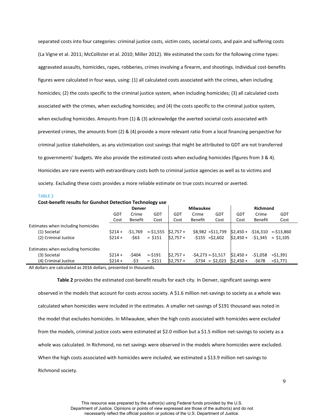separated costs into four categories: criminal justice costs, victim costs, societal costs, and pain and suffering costs (La Vigne et al. 2011; McCollister et al. 2010; Miller 2012). We estimated the costs for the following crime types: aggravated assaults, homicides, rapes, robberies, crimes involving a firearm, and shootings. Individual cost-benefits figures were calculated in four ways, using: (1) all calculated costs associated with the crimes, when including homicides; (2) the costs specific to the criminal justice system, when including homicides; (3) all calculated costs associated with the crimes, when excluding homicides; and (4) the costs specific to the criminal justice system, when excluding homicides. Amounts from (1) & (3) acknowledge the averted societal costs associated with prevented crimes, the amounts from (2) & (4) provide a more relevant ratio from a local financing perspective for criminal justice stakeholders, as any victimization cost savings that might be attributed to GDT are not transferred to governments' budgets. We also provide the estimated costs when excluding homicides (figures from 3 & 4). Homicides are rare events with extraordinary costs both to criminal justice agencies as well as to victims and society. Excluding these costs provides a more reliable estimate on true costs incurred or averted.

#### TABLE 2

**Cost-benefit results for Gunshot Detection Technology use** 

|                                    | <b>Denver</b> |                |           | <b>Milwaukee</b> |                |                     | <b>Richmond</b> |                |                               |
|------------------------------------|---------------|----------------|-----------|------------------|----------------|---------------------|-----------------|----------------|-------------------------------|
|                                    | GDT           | Crime          | GDT       | GDT              | Crime          | GDT                 | GDT             | Crime          | <b>GDT</b>                    |
|                                    | Cost          | <b>Benefit</b> | Cost      | Cost             | <b>Benefit</b> | Cost                | Cost            | <b>Benefit</b> | Cost                          |
| Estimates when including homicides |               |                |           |                  |                |                     |                 |                |                               |
| (1) Societal                       | $$214 +$      | -\$1.769       | $=51,555$ | $$2,757+$        |                | $$8,982 = $11,739$  |                 |                | $$2,450 + -$16,310 = $13,860$ |
| (2) Criminal Justice               | $$214 +$      | $-563$         | $= $151$  | $$2.757+$        |                | $-5155 = 52.602$    | $$2.450+$       | $-51.345$      | $=$ \$1.105                   |
| Estimates when excluding homicides |               |                |           |                  |                |                     |                 |                |                               |
| (3) Societal                       | $$214 +$      | -\$404         | $= -5191$ | $S2.757 +$       |                | $-54,273 = -51,517$ | $$2.450+$       | $-51.058$      | $=$ \$1.391                   |
| (4) Criminal Justice               | $$214 +$      | -\$3           | $=$ \$211 | $$2,757+$        |                | $-5734 = 52,023$    | $$2,450+$       | -\$678         | $=$ \$1,771                   |

All dollars are calculated as 2016 dollars, presented in thousands.

**Table 2** provides the estimated cost-benefit results for each city. In Denver, significant savings were observed in the models that account for costs across society. A \$1.6 million net-savings to society as a whole was calculated when homicides were included in the estimates. A smaller net-savings of \$191 thousand was noted in the model that excludes homicides. In Milwaukee, when the high costs associated with homicides were *excluded* from the models, criminal justice costs were estimated at \$2.0 million but a \$1.5 million net-savings to society as a whole was calculated. In Richmond, no net savings were observed in the models where homicides were excluded. When the high costs associated with homicides were *included*, we estimated a \$13.9 million net-savings to

Richmond society.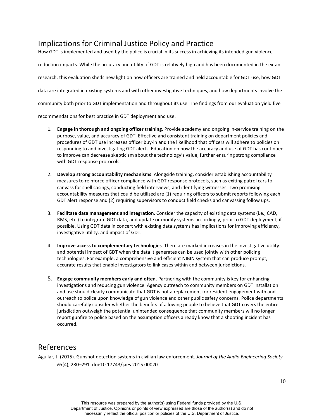# <span id="page-13-0"></span>Implications for Criminal Justice Policy and Practice

How GDT is implemented and used by the police is crucial in its success in achieving its intended gun violence

reduction impacts. While the accuracy and utility of GDT is relatively high and has been documented in the extant research, this evaluation sheds new light on how officers are trained and held accountable for GDT use, how GDT data are integrated in existing systems and with other investigative techniques, and how departments involve the community both prior to GDT implementation and throughout its use. The findings from our evaluation yield five

recommendations for best practice in GDT deployment and use.

- 1. **Engage in thorough and ongoing officer training**. Provide academy and ongoing in-service training on the purpose, value, and accuracy of GDT. Effective and consistent training on department policies and procedures of GDT use increases officer buy-in and the likelihood that officers will adhere to policies on responding to and investigating GDT alerts. Education on how the accuracy and use of GDT has continued to improve can decrease skepticism about the technology's value, further ensuring strong compliance with GDT response protocols.
- 2. **Develop strong accountability mechanisms**. Alongside training, consider establishing accountability measures to reinforce officer compliance with GDT response protocols, such as exiting patrol cars to canvass for shell casings, conducting field interviews, and identifying witnesses. Two promising accountability measures that could be utilized are (1) requiring officers to submit reports following each GDT alert response and (2) requiring supervisors to conduct field checks and canvassing follow ups.
- 3. **Facilitate data management and integration**. Consider the capacity of existing data systems (i.e., CAD, RMS, etc.) to integrate GDT data, and update or modify systems accordingly, prior to GDT deployment, if possible. Using GDT data in concert with existing data systems has implications for improving efficiency, investigative utility, and impact of GDT.
- 4. **Improve access to complementary technologies**. There are marked increases in the investigative utility and potential impact of GDT when the data it generates can be used jointly with other policing technologies. For example, a comprehensive and efficient NIBIN system that can produce prompt, accurate results that enable investigators to link cases within and between jurisdictions.
- 5. **Engage community members early and often**. Partnering with the community is key for enhancing investigations and reducing gun violence. Agency outreach to community members on GDT installation and use should clearly communicate that GDT is not a replacement for resident engagement with and outreach to police upon knowledge of gun violence and other public safety concerns. Police departments should carefully consider whether the benefits of allowing people to believe that GDT covers the entire jurisdiction outweigh the potential unintended consequence that community members will no longer report gunfire to police based on the assumption officers already know that a shooting incident has occurred.

# <span id="page-13-1"></span>References

Aguilar, J. (2015). Gunshot detection systems in civilian law enforcement. *Journal of the Audio Engineering Society, 63*(4), 280–291. doi:10.17743/jaes.2015.00020